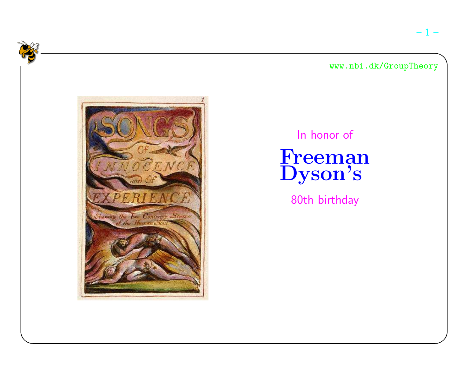In honor of

Freeman<br>Dyson's

80th birthday

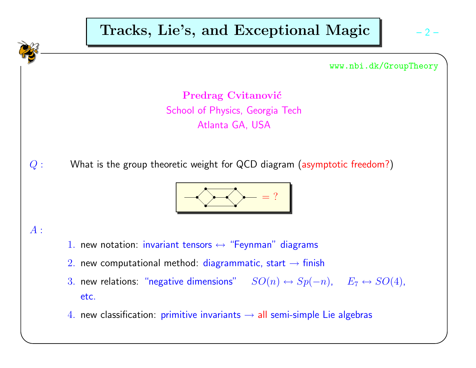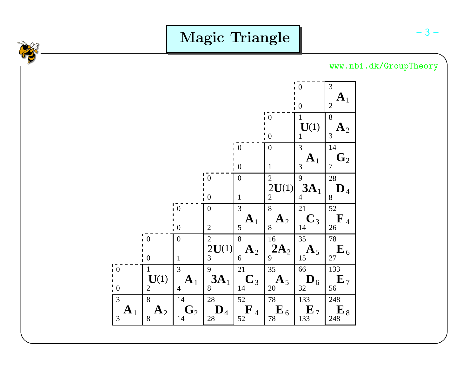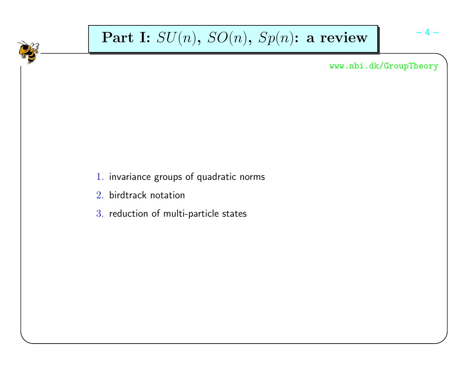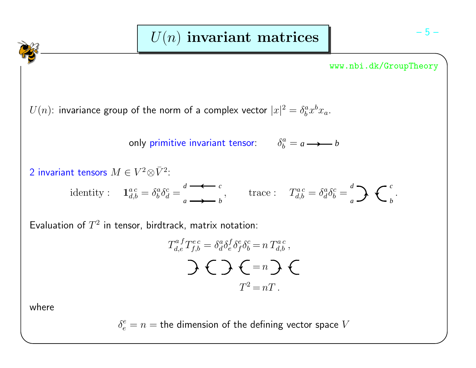$U(n)$ : invariance group of the norm of a complex vector  $|x|^2 = \delta^a_b x^b x_a.$ 

only primitive invariant tensor:  $\,\,\,\,\,\,\,\,\,\,\,\delta^a_b$ 

$$
\delta_b^a = a \longrightarrow b
$$

2 invariant tensors 
$$
M \in V^2 \otimes \overline{V}^2
$$
:  
identity:  $\mathbf{1}_{d,b}^{ac} = \delta_b^a \delta_d^c = \frac{d}{a} \longrightarrow b$ , trace:  $T_{d,b}^{ac} = \delta_d^a \delta_b^c = \frac{d}{a} \sum \left( \frac{c}{b} \right)$ .

Evaluation of  $T^2$  in tensor, birdtrack, matrix notation:

$$
T_{d,e}^{a}T_{f,b}^{ec} = \delta_d^a \delta_e^f \delta_f^e \delta_b^c = n T_{d,b}^{ac},
$$
  

$$
\sum \left( \sum a_i^c \delta_i^c \right)^2 = nT.
$$

where

 $\delta_e^e=n=$  the dimension of the defining vector space  $V$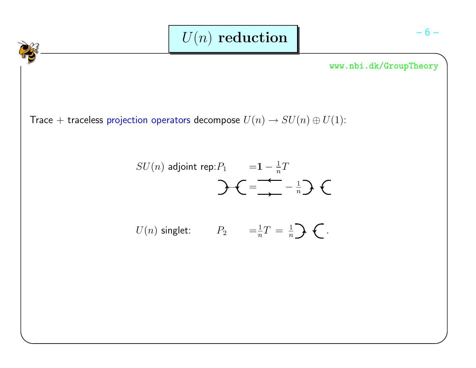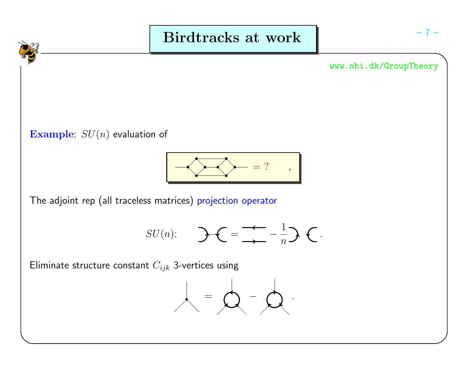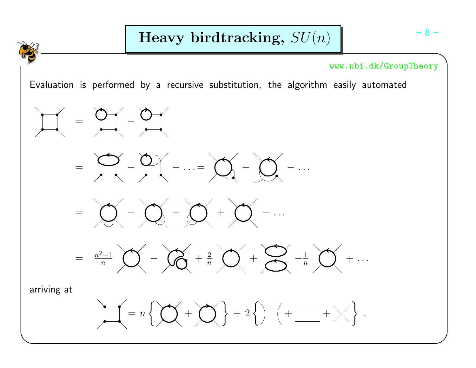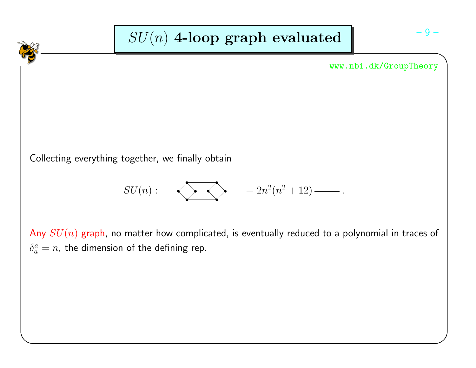

Any  $SU(n)$  graph, no matter how complicated, is eventually reduced to a polynomial in traces of  $\delta^a_a=n$ , the dimension of the defining rep.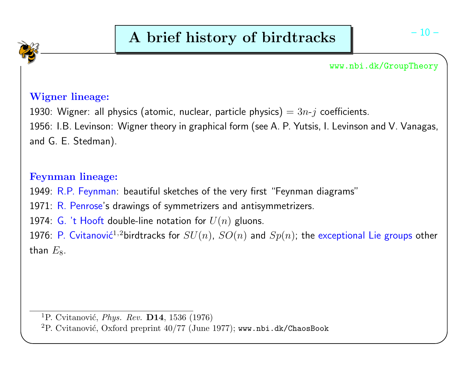# Wigner lineage:

1930: Wigner: all physics (atomic, nuclear, particle physics)  $= 3n$ - $j$  coefficients.

1956: I.B. Levinson: Wigner theory in graphical form (see A. P. Yutsis, I. Levinson and V. Vanagas, and G. E. Stedman).

# Feynman lineage:

1949: R.P. Feynman: beautiful sketches of the very first "Feynman diagrams"

1971: R. Penrose's drawings of symmetrizers and antisymmetrizers.

1974: G. 't Hooft double-line notation for  $U(n)$  gluons.

1976: P. Cvitanović $^{1,2}$ birdtracks for  $SU(n)$ ,  $SO(n)$  and  $Sp(n)$ ; the exceptional Lie groups other than  $E_8$ .

 ${}^{1}\mathrm{P}$ . Cvitanović, *Phys. Rev.* **D14**, 1536 (1976)

 $^2\mathrm{P}.$  Cvitanović, Oxford preprint  $40/77$  (June  $1977)$ ; www.nbi.dk/ChaosBook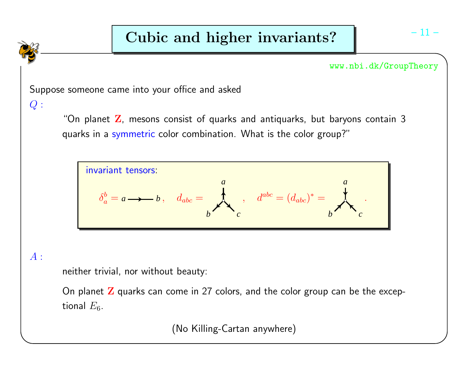

# $A$  :

neither trivial, nor without beauty:

On planet  ${\bf Z}$  quarks can come in 27 colors, and the color group can be the exceptional  $E_{\rm 6}.$ 

(No Killing-Cartan anywhere)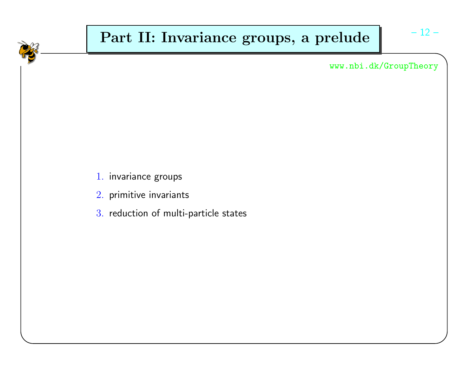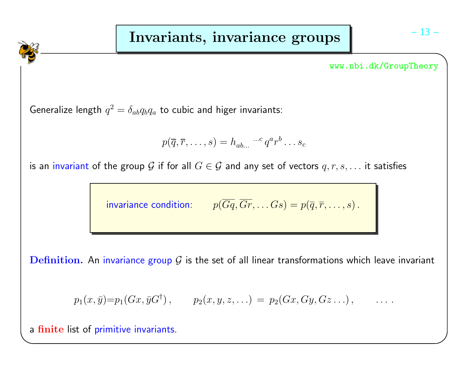Generalize length  $q^2 = \delta_{ab}q_bq_a$  to cubic and higer invariants:

$$
p(\overline{q}, \overline{r}, \ldots, s) = h_{ab\ldots} \cdots^c q^a r^b \ldots s_c
$$

is an invariant of the group  $\mathcal G$  if for all  $G\in\mathcal G$  and any set of vectors  $q,r,s,\ldots$  it satisfies

invariance condition:  $p(Gq,Gr,\ldots Gs) = p(\overline{q}, \overline{r},\ldots, s)$ .

 $\mathbf D$ efi $\mathbf n$ ition. An invariance group  $\mathcal G$  is the set of all linear transformations which leave invariant

$$
p_1(x, \bar{y}) = p_1(Gx, \bar{y}G^{\dagger}),
$$
  $p_2(x, y, z, ...)= p_2(Gx, Gy, Gz...),$  ...

a finite list of primitive invariants.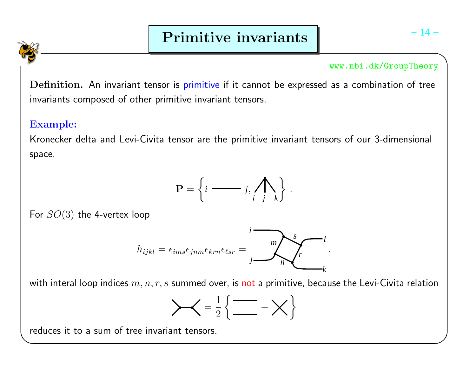$\bf{Definition.}$  An invariant tensor is primitive if it cannot be expressed as a combination of tree invariants composed of other primitive invariant tensors.

## Example:

Kronecker delta and Levi-Civita tensor are the primitive invariant tensors of our 3-dimensionalspace.



For  $SO(3)$  the 4-vertex loop



with interal loop indices  $m,n,r,s$  summed over, is <mark>not</mark> a primitive, because the Levi-Civita relation

$$
\left\{\leftarrow \frac{1}{2} \left\{ \frac{1}{\frac{1}{2}} - \chi \right\}
$$

reduces it to <sup>a</sup> sum of tree invariant tensors.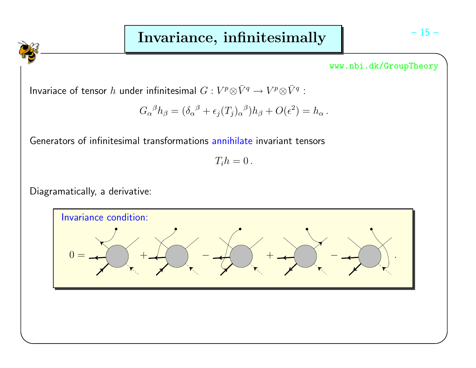Invariace of tensor  $h$  under infinitesimal  $G: V^p\otimes \bar{V}^q\to V^p\otimes \bar{V}^q$  :

$$
G_{\alpha}{}^{\beta}h_{\beta} = (\delta_{\alpha}{}^{\beta} + \epsilon_j(T_j)_{\alpha}{}^{\beta})h_{\beta} + O(\epsilon^2) = h_{\alpha}.
$$

Generators of infinitesimal transformations annihilate invariant tensors

 $T_i h = 0$ .

Diagramatically, <sup>a</sup> derivative:

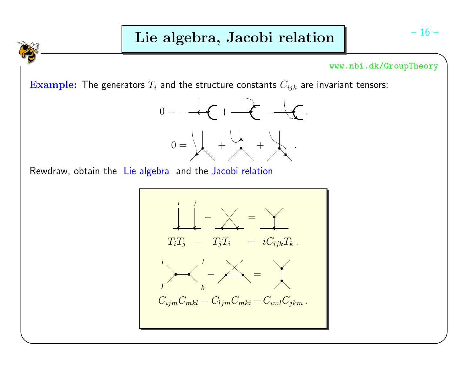**Example:** The generators  $T_i$  and the structure constants  $C_{ijk}$  are invariant tensors:



Rewdraw, obtain the Lie algebra and the Jacobi relation

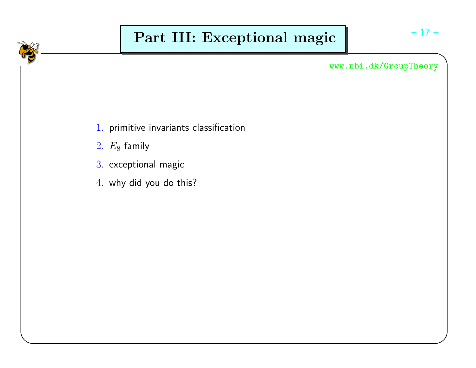# Part III: Exceptional magic

www.nbi.dk/GroupTheory

- $1. \,$  primitive invariants classification
- $2. E_8$  family
- $3\!\!$  exceptional magic
- $4. \,$  why did you do this?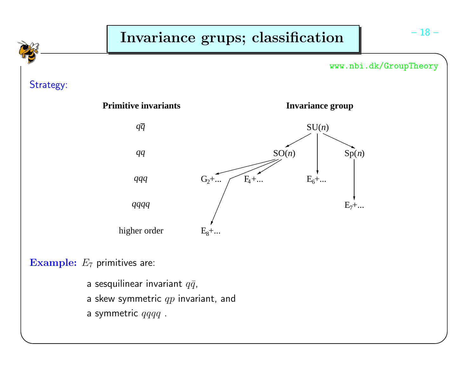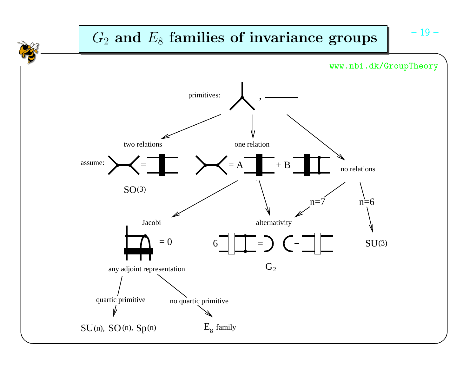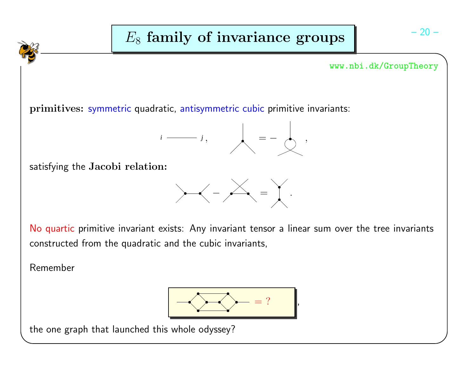

Remember



the one graph that launched this whole odyssey?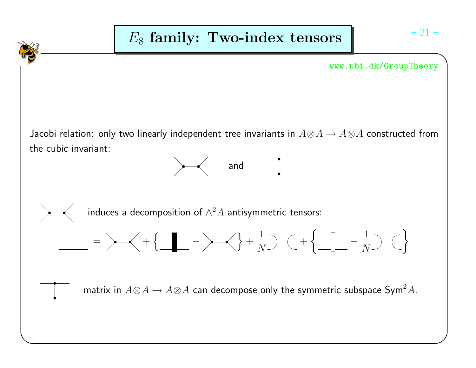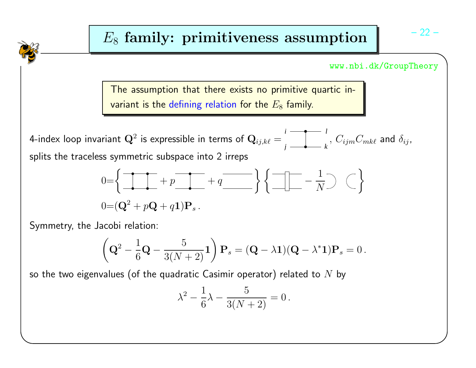The assumption that there exists no primitive quartic in-<mark>variant is the defining relation for the  $E_8$  family.</mark>

4-index loop invariant Q<sup>2</sup> is expressible in terms of Qij,k` <sup>=</sup> *ki j* $\frac{l}{\kappa},\, C_{ijm}C_{mk\ell}$  and  $\delta_{ij},$ splits the traceless symmetric subspace into 2 irreps

$$
0=\left\{\begin{array}{ccc} \uparrow & \uparrow & \uparrow \\ \hline & \downarrow & \downarrow \end{array} + p \begin{array}{ccc} \uparrow & \uparrow & \downarrow \\ \hline & \downarrow & \end{array} + q \begin{array}{ccc} \downarrow & \downarrow & \downarrow \\ \hline & \downarrow & \end{array} \right\} \left\{\begin{array}{ccc} \uparrow & \downarrow & \downarrow \\ \hline & \uparrow & \end{array} \right\} \quad \left(\begin{array}{ccc} \downarrow & \downarrow & \downarrow \\ \hline & \downarrow & \end{array} \right)
$$

Symmetry, the Jacobi relation:

$$
\left(\mathbf{Q}^2 - \frac{1}{6}\mathbf{Q} - \frac{5}{3(N+2)}\mathbf{1}\right)\mathbf{P}_s = (\mathbf{Q} - \lambda\mathbf{1})(\mathbf{Q} - \lambda^*\mathbf{1})\mathbf{P}_s = 0.
$$

so the two eigenvalues (of the quadratic Casimir operator) related to  $N$  by

$$
\lambda^2 - \frac{1}{6}\lambda - \frac{5}{3(N+2)} = 0.
$$

– 22 –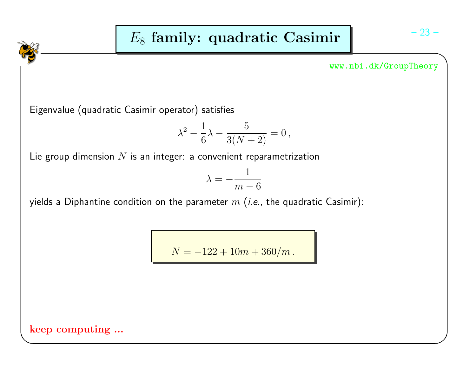Eigenvalue (quadratic Casimir operator) satisfies

$$
\lambda^2 - \frac{1}{6}\lambda - \frac{5}{3(N+2)} = 0,
$$

Lie group dimension  $N$  is an integer: a convenient reparametrization

$$
\lambda = -\frac{1}{m - 6}
$$

yields a Diphantine condition on the parameter  $m$  (*i.e.*, the quadratic Casimir):

 $N = -122 + 10m + 360/m$ .

keep computing ...

$$
-23 -
$$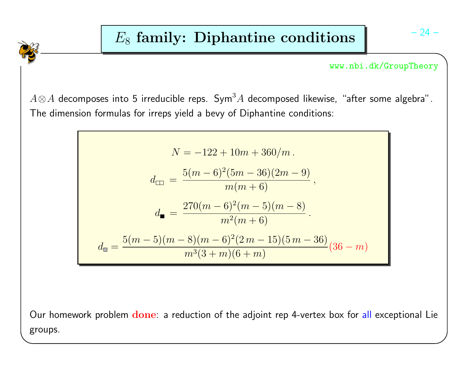$A \otimes A$  decomposes into 5 irreducible reps.  $\mathsf{Sym}^3 A$  decomposed likewise, "after some algebra". The dimension formulas for irreps yield <sup>a</sup> bevy of Diphantine conditions:

$$
N = -122 + 10m + 360/m.
$$
  
\n
$$
d_{\square} = \frac{5(m-6)^2(5m-36)(2m-9)}{m(m+6)},
$$
  
\n
$$
d_{\blacksquare} = \frac{270(m-6)^2(m-5)(m-8)}{m^2(m+6)}.
$$
  
\n
$$
d_{\square} = \frac{5(m-5)(m-8)(m-6)^2(2m-15)(5m-36)}{m^3(3+m)(6+m)}(36-m)
$$

Our homework problem  $\bf{done}$ : a reduction of the adjoint rep 4-vertex box for <mark>all</mark> exceptional Lie groups.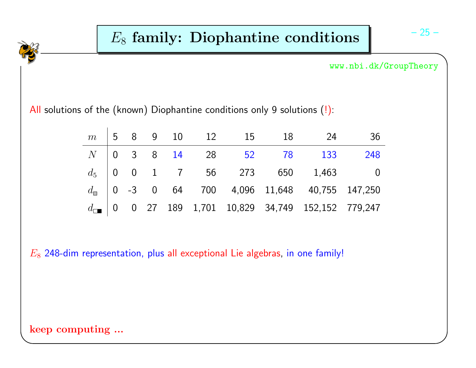All solutions of the (known) Diophantine conditions only 9 solutions  $(\cdot)$ :

|  |  |  |  | $m$   5 8 9 10 12 15 18 24 36                                                                                                                                         |  |
|--|--|--|--|-----------------------------------------------------------------------------------------------------------------------------------------------------------------------|--|
|  |  |  |  | $N$ 0 3 8 14 28 52 78 133 248                                                                                                                                         |  |
|  |  |  |  |                                                                                                                                                                       |  |
|  |  |  |  | $d_5$ 0 0 1 7 56 273 650 1,463 0<br>$d_{\blacksquare}$ 0 -3 0 64 700 4,096 11,648 40,755 147,250<br>$d_{\blacksquare}$ 0 0 27 189 1,701 10,829 34,749 152,152 779,247 |  |
|  |  |  |  |                                                                                                                                                                       |  |

 $E_8$  248-dim representation, plus all exceptional Lie algebras, in one family!

## keep computing ...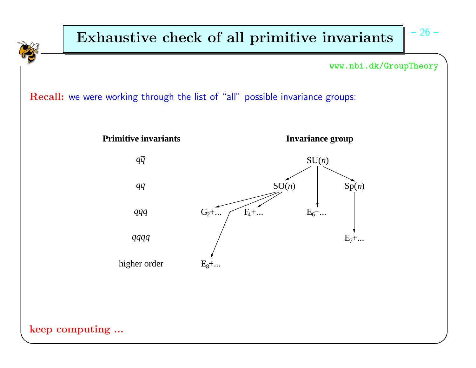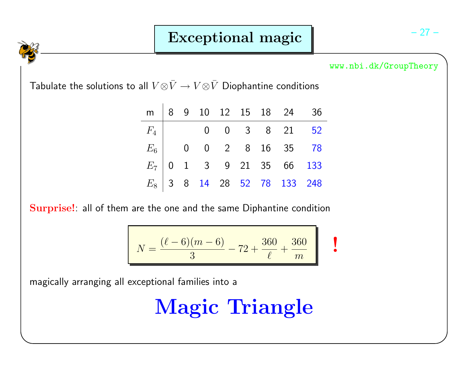Tabulate the solutions to all  $V \otimes \bar{V} \rightarrow V \otimes \bar{V}$  Diophantine conditions

|  |  |  | m   8 9 10 12 15 18 24 36     |  |
|--|--|--|-------------------------------|--|
|  |  |  | $F_4$ 0 0 0 3 8 21 52         |  |
|  |  |  | $E_6$   0 0 2 8 16 35 78      |  |
|  |  |  | $E_7$ 0 1 3 9 21 35 66 133    |  |
|  |  |  | $E_8$ 3 8 14 28 52 78 133 248 |  |

Surprise!: all of them are the one and the same Diphantine condition

$$
N = \frac{(\ell - 6)(m - 6)}{3} - 72 + \frac{360}{\ell} + \frac{360}{m}
$$

magically arranging all exceptional families into <sup>a</sup>

Magic Triangle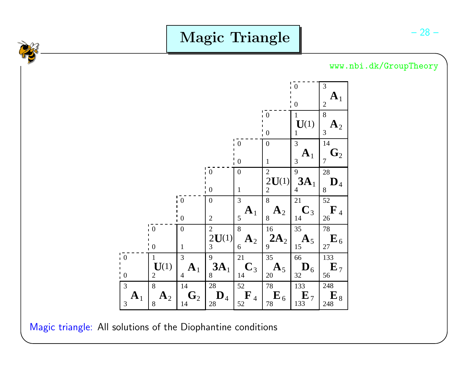

Magic triangle: All solutions of the Diophantine conditions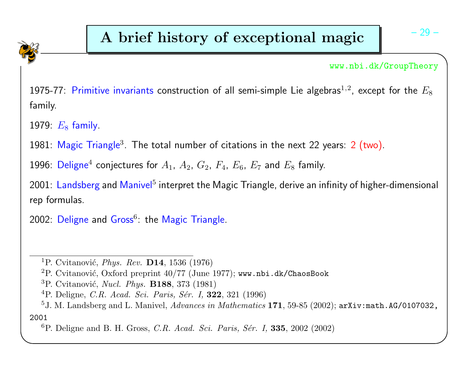1975-77:  $\,$ Primitive invariants construction of all semi-simple Lie algebras $^{1,2}$ , except for the  $E_8$ family.

1979:  $E_8$  family.

1981:  $\mathsf{Magic}\,$  Triangle $^3.$  The total number of citations in the next 22 years:  $2$   $(\textsf{two})$ .

1996:  $\mathsf{Deligne}^4$  conjectures for  $A_1,~A_2,~G_2,~F_4,~E_6,~E_7$  and  $E_8$  family.

2001: Landsberg and <mark>Manivel<sup>5</sup> interpret the Magic Triangle, derive</mark> an infinity of higher-dimensional rep formulas.

 $2002$ :  $\sf Deligne$  and  $\sf Gross^6$ : the Magic Triangle.

 $^2\mathrm{P}.$  Cvitanović, Oxford preprint  $40/77$  (June  $1977)$ ; www.nbi.dk/ChaosBook

- ${}^{3}$ P. Cvitanović, *Nucl. Phys.* **B188**, 373 (1981)
- ${}^{4}$ P. Deligne, *C.R. Acad. Sci. Paris, Sér. I,* **322**, 321 (1996)

 ${}^{1}\mathrm{P}$ . Cvitanović, *Phys. Rev.* **D14**, 1536 (1976)

 $^5\text{J.~M.~Landsberg and~L.~Mainvel, *Advances in Mathematics*$   $\bf 171,$   $59\text{-}85$   $(2002)$ ;  $\texttt{arXiv:math.AG/0107032}$  , 2001

 ${}^{6}P$ . Deligne and B. H. Gross, *C.R. Acad. Sci. Paris, Sér. I*, **335**, 2002 (2002)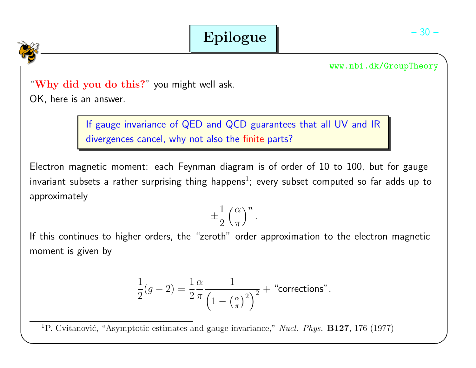## "Why did you do this?" you might well ask.

OK, here is an answer.

If gauge invariance of QED and QCD guarantees that all UV and IRdivergences cancel, why not also the finite parts?

Electron magnetic moment: each Feynman diagram is of order of 10 to 100, but for gaugeinvariant subsets a rather surprising thing happens<sup>1</sup>; every subset computed so far adds up to approximately

$$
\pm\frac{1}{2}\left(\frac{\alpha}{\pi}\right)^n.
$$

If this continues to higher orders, the "zeroth" order approximation to the electron magneticmoment is given by

$$
\frac{1}{2}(g-2) = \frac{1}{2}\frac{\alpha}{\pi} \frac{1}{\left(1 - \left(\frac{\alpha}{\pi}\right)^2\right)^2} + \text{ "corrections".}
$$

<sup>1</sup>P. Cvitanović, "Asymptotic estimates and gauge invariance," *Nucl. Phys.* **B127**, 176 (1977)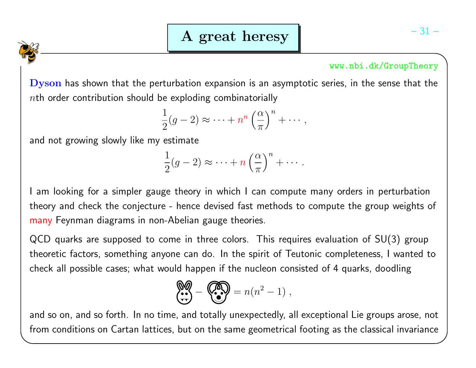$\mathbf{D} \mathbf{y} \mathbf{son}$  has shown that the perturbation expansion is an asymptotic series, in the sense that the  $n$ th order contribution should be exploding combinatorially

$$
\frac{1}{2}(g-2) \approx \cdots + n^n \left(\frac{\alpha}{\pi}\right)^n + \cdots,
$$

and not growing slowly like my estimate

$$
\frac{1}{2}(g-2) \approx \cdots + n\left(\frac{\alpha}{\pi}\right)^n + \cdots.
$$

I am looking for <sup>a</sup> simpler gauge theory in which I can compute many orders in perturbationtheory and check the conjecture - hence devised fast methods to compute the group weights of many Feynman diagrams in non-Abelian gauge theories.

QCD quarks are supposed to come in three colors. This requires evaluation of SU(3) grouptheoretic factors, something anyone can do. In the spirit of Teutonic completeness, I wanted tocheck all possible cases; what would happen if the nucleon consisted of <sup>4</sup> quarks, doodling

$$
\begin{pmatrix} \bullet & \bullet & \bullet \\ \bullet & \bullet & \bullet \end{pmatrix} = n(n^2 - 1) ,
$$

and so on, and so forth. In no time, and totally unexpectedly, all exceptional Lie groups arose, notfrom conditions on Cartan lattices, but on the same geometrical footing as the classical invariance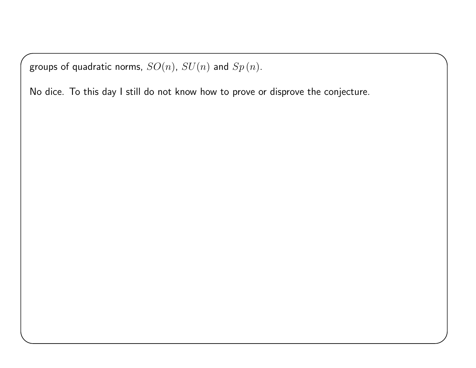groups of quadratic norms,  $SO(n)$ ,  $SU(n)$  and  $Sp\left( n\right)$ .

No dice. To this day I still do not know how to prove or disprove the conjecture.